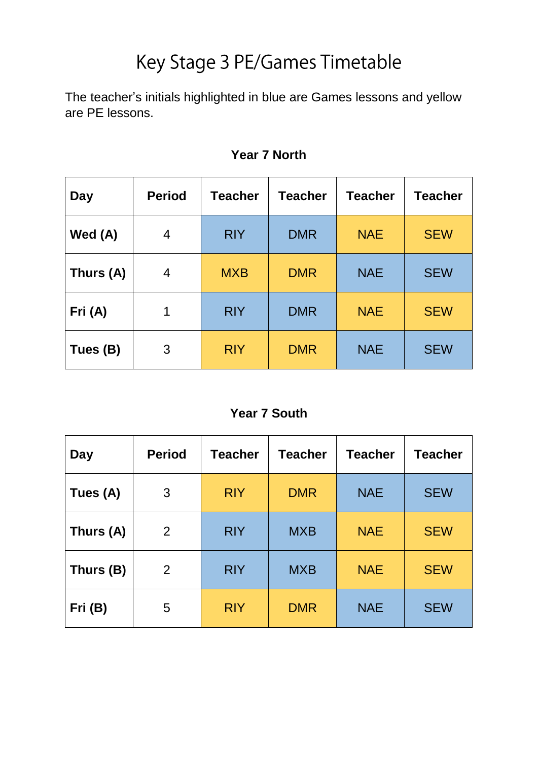# Key Stage 3 PE/Games Timetable

The teacher's initials highlighted in blue are Games lessons and yellow are PE lessons.

| Day       | <b>Period</b> | <b>Teacher</b> | <b>Teacher</b> | <b>Teacher</b> | <b>Teacher</b> |
|-----------|---------------|----------------|----------------|----------------|----------------|
| Wed (A)   | 4             | <b>RIY</b>     | <b>DMR</b>     | <b>NAE</b>     | <b>SEW</b>     |
| Thurs (A) | 4             | <b>MXB</b>     | <b>DMR</b>     | <b>NAE</b>     | <b>SEW</b>     |
| Fri (A)   | 1             | <b>RIY</b>     | <b>DMR</b>     | <b>NAE</b>     | <b>SEW</b>     |
| Tues (B)  | 3             | <b>RIY</b>     | <b>DMR</b>     | <b>NAE</b>     | <b>SEW</b>     |

### **Year 7 North**

#### **Year 7 South**

| <b>Day</b> | <b>Period</b> | <b>Teacher</b> | <b>Teacher</b> | <b>Teacher</b> | <b>Teacher</b> |
|------------|---------------|----------------|----------------|----------------|----------------|
| Tues (A)   | 3             | <b>RIY</b>     | <b>DMR</b>     | <b>NAE</b>     | <b>SEW</b>     |
| Thurs (A)  | 2             | <b>RIY</b>     | <b>MXB</b>     | <b>NAE</b>     | <b>SEW</b>     |
| Thurs (B)  | 2             | <b>RIY</b>     | <b>MXB</b>     | <b>NAE</b>     | <b>SEW</b>     |
| Fri (B)    | 5             | <b>RIY</b>     | <b>DMR</b>     | <b>NAE</b>     | <b>SEW</b>     |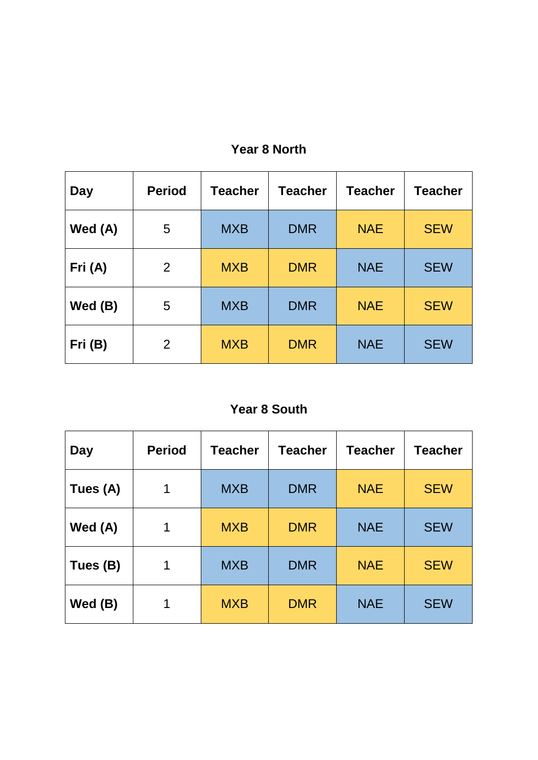| Day       | <b>Period</b> | <b>Teacher</b> | <b>Teacher</b> | <b>Teacher</b> | <b>Teacher</b> |
|-----------|---------------|----------------|----------------|----------------|----------------|
| Wed (A)   | 5             | <b>MXB</b>     | <b>DMR</b>     | <b>NAE</b>     | <b>SEW</b>     |
| Fri (A)   | 2             | <b>MXB</b>     | <b>DMR</b>     | <b>NAE</b>     | <b>SEW</b>     |
| Wed $(B)$ | 5             | <b>MXB</b>     | <b>DMR</b>     | <b>NAE</b>     | <b>SEW</b>     |
| Fri (B)   | 2             | <b>MXB</b>     | <b>DMR</b>     | <b>NAE</b>     | <b>SEW</b>     |

# **Year 8 North**

## **Year 8 South**

| Day       | <b>Period</b> | <b>Teacher</b> | <b>Teacher</b> | <b>Teacher</b> | <b>Teacher</b> |
|-----------|---------------|----------------|----------------|----------------|----------------|
| Tues (A)  | 1             | <b>MXB</b>     | <b>DMR</b>     | <b>NAE</b>     | <b>SEW</b>     |
| Wed (A)   | 1             | <b>MXB</b>     | <b>DMR</b>     | <b>NAE</b>     | <b>SEW</b>     |
| Tues (B)  | 1             | <b>MXB</b>     | <b>DMR</b>     | <b>NAE</b>     | <b>SEW</b>     |
| Wed $(B)$ |               | <b>MXB</b>     | <b>DMR</b>     | <b>NAE</b>     | <b>SEW</b>     |